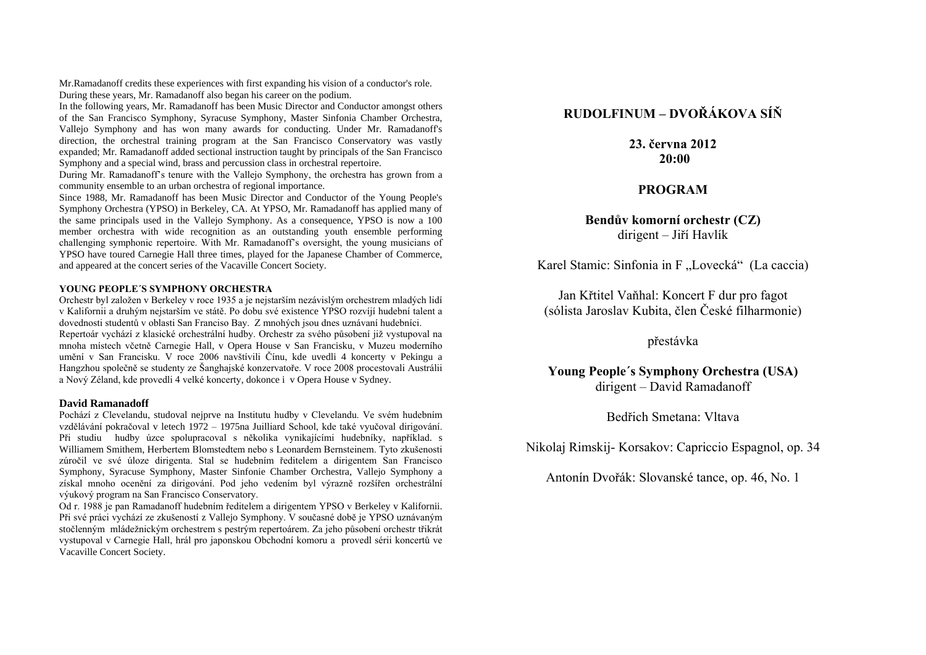Mr.Ramadanoff credits these experiences with first expanding his vision of a conductor's role. During these years, Mr. Ramadanoff also began his career on the podium.

In the following years, Mr. Ramadanoff has been Music Director and Conductor amongst others of the San Francisco Symphony, Syracuse Symphony, Master Sinfonia Chamber Orchestra, Vallejo Symphony and has won many awards for conducting. Under Mr. Ramadanoff's direction, the orchestral training program at the San Francisco Conservatory was vastly expanded; Mr. Ramadanoff added sectional instruction taught by principals of the San Francisco Symphony and a special wind, brass and percussion class in orchestral repertoire.

During Mr. Ramadanoff's tenure with the Vallejo Symphony, the orchestra has grown from a community ensemble to an urban orchestra of regional importance.

Since 1988, Mr. Ramadanoff has been Music Director and Conductor of the Young People's Symphony Orchestra (YPSO) in Berkeley, CA. At YPSO, Mr. Ramadanoff has applied many of the same principals used in the Vallejo Symphony. As a consequence, YPSO is now a 100 member orchestra with wide recognition as an outstanding youth ensemble performing challenging symphonic repertoire. With Mr. Ramadanoff's oversight, the young musicians of YPSO have toured Carnegie Hall three times, played for the Japanese Chamber of Commerce, and appeared at the concert series of the Vacaville Concert Society.

### **YOUNG PEOPLE´S SYMPHONY ORCHESTRA**

Orchestr byl založen v Berkeley v roce 1935 a je nejstarším nezávislým orchestrem mladých lidí v Kalifornii a druhým nejstarším ve státě. Po dobu své existence YPSO rozvíjí hudební talent a dovednosti studentů v oblasti San Franciso Bay. Z mnohých jsou dnes uznávaní hudebníci. Repertoár vychází z klasické orchestrální hudby. Orchestr za svého působení již vystupoval na mnoha místech včetně Carnegie Hall, v Opera House v San Francisku, v Muzeu moderního umění v San Francisku. V roce 2006 navštívili Čínu, kde uvedli 4 koncerty v Pekingu a Hangzhou společně se studenty ze Šanghajské konzervatoře. V roce 2008 procestovali Austrálii a Nový Zéland, kde provedli 4 velké koncerty, dokonce i v Opera House v Sydney.

#### **David Ramanadoff**

Pochází z Clevelandu, studoval nejprve na Institutu hudby v Clevelandu. Ve svém hudebním vzdělávání pokračoval v letech 1972 – 1975na Juilliard School, kde také vyučoval dirigování. Při studiu hudby úzce spolupracoval s několika vynikajícími hudebníky, například. s Williamem Smithem, Herbertem Blomstedtem nebo s Leonardem Bernsteinem. Tyto zkušenosti zúročil ve své úloze dirigenta. Stal se hudebním ředitelem a dirigentem San Francisco Symphony, Syracuse Symphony, Master Sinfonie Chamber Orchestra, Vallejo Symphony a získal mnoho ocenění za dirigování. Pod jeho vedením byl výrazně rozšířen orchestrální výukový program na San Francisco Conservatory.

Od r. 1988 je pan Ramadanoff hudebním ředitelem a dirigentem YPSO v Berkeley v Kalifornii. Při své práci vychází ze zkušeností z Vallejo Symphony. V současné době je YPSO uznávaným stočlenným mládežnickým orchestrem s pestrým repertoárem. Za jeho působení orchestr třikrát vystupoval v Carnegie Hall, hrál pro japonskou Obchodní komoru a provedl sérii koncertů ve Vacaville Concert Society.

# **RUDOLFINUM – DVOŘÁKOVA SÍŇ**

**23. června 2012 20:00**

## **PROGRAM**

### **Bendův komorní orchestr (CZ)** dirigent – Jiří Havlík

Karel Stamic: Sinfonia in F "Lovecká" (La caccia)

Jan Křtitel Vaňhal: Koncert F dur pro fagot (sólista Jaroslav Kubita, člen České filharmonie)

přestávka

**Young People´s Symphony Orchestra (USA)** dirigent – David Ramadanoff

Bedřich Smetana: Vltava

Nikolaj Rimskij- Korsakov: Capriccio Espagnol, op. 34

Antonín Dvořák: Slovanské tance, op. 46, No. 1